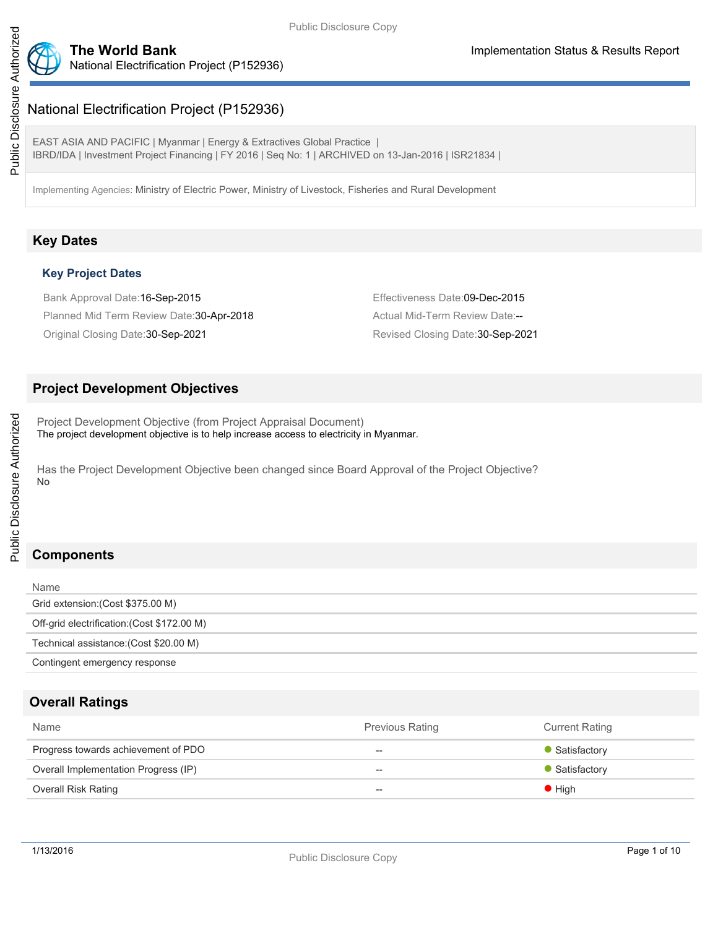

# National Electrification Project (P152936)

National Electrification Project (P152936)

EAST ASIA AND PACIFIC | Myanmar | Energy & Extractives Global Practice | IBRD/IDA | Investment Project Financing | FY 2016 | Seq No: 1 | ARCHIVED on 13-Jan-2016 | ISR21834 |

Implementing Agencies: Ministry of Electric Power, Ministry of Livestock, Fisheries and Rural Development

# **Key Dates**

## **Key Project Dates**

Bank Approval Date:16-Sep-2015 Effectiveness Date:09-Dec-2015 Planned Mid Term Review Date: 30-Apr-2018 Actual Mid-Term Review Date:--Original Closing Date:30-Sep-2021 Revised Closing Date:30-Sep-2021

# **Project Development Objectives**

Project Development Objective (from Project Appraisal Document) The project development objective is to help increase access to electricity in Myanmar.

Has the Project Development Objective been changed since Board Approval of the Project Objective? No

# **Components**

Public Disclosure Authorized

Public Disclosure Authorized

| Name                                        |
|---------------------------------------------|
| Grid extension: (Cost \$375.00 M)           |
| Off-grid electrification: (Cost \$172.00 M) |
| Technical assistance: (Cost \$20.00 M)      |
| Contingent emergency response               |

# **Overall Ratings**

| Name                                 | <b>Previous Rating</b> | <b>Current Rating</b> |
|--------------------------------------|------------------------|-----------------------|
| Progress towards achievement of PDO  | $-$                    | • Satisfactory        |
| Overall Implementation Progress (IP) | $\hspace{0.05cm}$      | • Satisfactory        |
| <b>Overall Risk Rating</b>           | $- -$                  | $\bullet$ High        |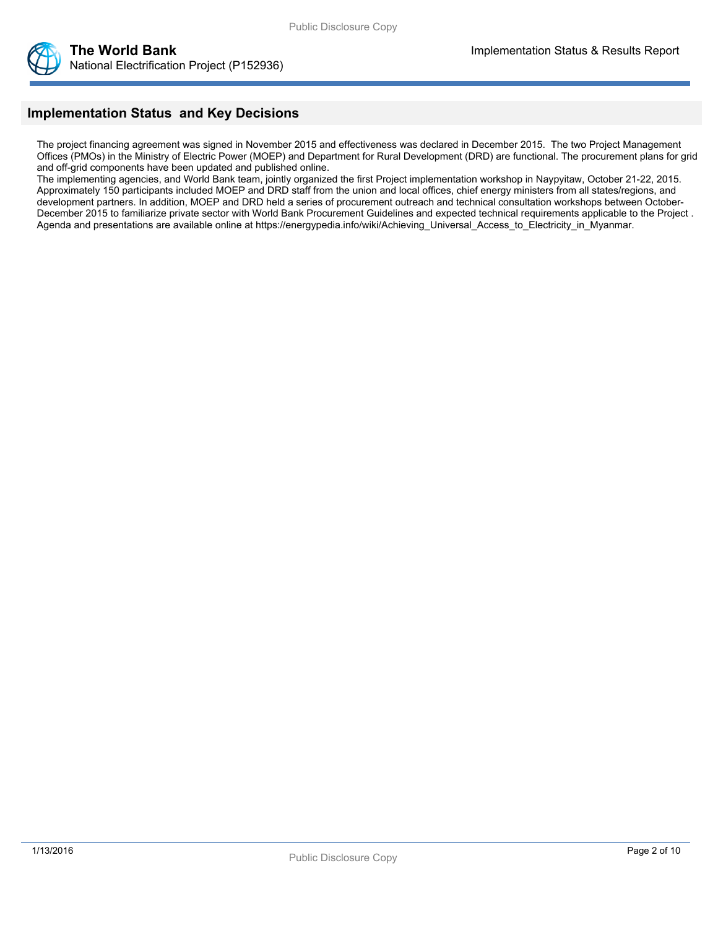

# **Implementation Status and Key Decisions**

The project financing agreement was signed in November 2015 and effectiveness was declared in December 2015. The two Project Management Offices (PMOs) in the Ministry of Electric Power (MOEP) and Department for Rural Development (DRD) are functional. The procurement plans for grid and off-grid components have been updated and published online.

The implementing agencies, and World Bank team, jointly organized the first Project implementation workshop in Naypyitaw, October 21-22, 2015. Approximately 150 participants included MOEP and DRD staff from the union and local offices, chief energy ministers from all states/regions, and development partners. In addition, MOEP and DRD held a series of procurement outreach and technical consultation workshops between October-December 2015 to familiarize private sector with World Bank Procurement Guidelines and expected technical requirements applicable to the Project . Agenda and presentations are available online at https://energypedia.info/wiki/Achieving\_Universal\_Access\_to\_Electricity\_in\_Myanmar.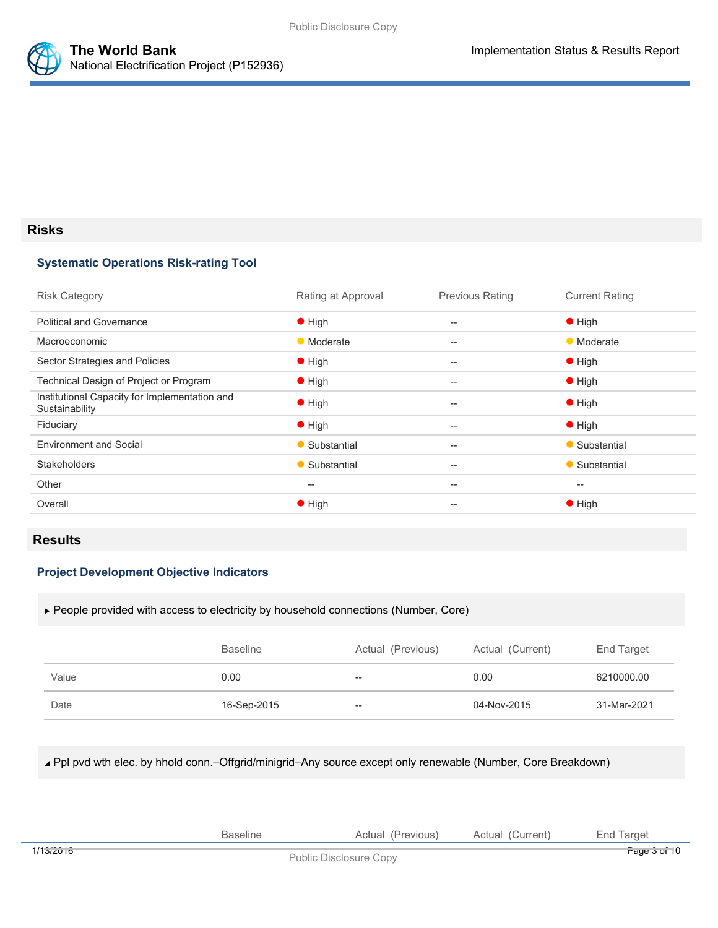



## **Risks**

## **Systematic Operations Risk-rating Tool**

| Rating at Approval                                  | <b>Previous Rating</b>                              | <b>Current Rating</b>                               |
|-----------------------------------------------------|-----------------------------------------------------|-----------------------------------------------------|
| $\bullet$ High                                      | $-$                                                 | $\bullet$ High                                      |
| • Moderate                                          | $-$                                                 | • Moderate                                          |
| $\bullet$ High                                      | $-$                                                 | $\bullet$ High                                      |
| $\bullet$ High                                      | $-$                                                 | $\bullet$ High                                      |
| $\bullet$ High                                      | $-$                                                 | $\bullet$ High                                      |
| $\bullet$ High                                      | $\hspace{0.05cm} -\hspace{0.05cm} -\hspace{0.05cm}$ | $\bullet$ High                                      |
| • Substantial                                       | $\hspace{0.05cm} -\hspace{0.05cm} -\hspace{0.05cm}$ | • Substantial                                       |
| • Substantial                                       | $-$                                                 | • Substantial                                       |
| $\hspace{0.05cm} -\hspace{0.05cm} -\hspace{0.05cm}$ | $\hspace{0.05cm} -$                                 | $\hspace{0.05cm} -\hspace{0.05cm} -\hspace{0.05cm}$ |
| $\bullet$ High                                      | $- -$                                               | $\bullet$ High                                      |
|                                                     |                                                     |                                                     |

## **Results**

## **Project Development Objective Indicators**

People provided with access to electricity by household connections (Number, Core)

|       | <b>Baseline</b> | Actual (Previous) | Actual (Current) | End Target  |
|-------|-----------------|-------------------|------------------|-------------|
| Value | 0.00            | $- -$             | 0.00             | 6210000.00  |
| Date  | 16-Sep-2015     | $- -$             | 04-Nov-2015      | 31-Mar-2021 |

Ppl pvd wth elec. by hhold conn.–Offgrid/minigrid–Any source except only renewable (Number, Core Breakdown)

|           | ellr | Previous <sup>®</sup>                                                                                                                                                                                                                                                  | urrent:<br>Actua | arge:<br>– nr |
|-----------|------|------------------------------------------------------------------------------------------------------------------------------------------------------------------------------------------------------------------------------------------------------------------------|------------------|---------------|
| 1/13/2016 |      | $\mathbb{R}$ . It is $\mathbb{R}^n$ . It is a set of $\mathbb{R}^n$ . It is a set of $\mathbb{R}^n$ . It is a set of $\mathbb{R}^n$ is a set of $\mathbb{R}^n$ is a set of $\mathbb{R}^n$ is a set of $\mathbb{R}^n$ is a set of $\mathbb{R}^n$ is a set of $\mathbb{$ |                  | Page 3 of 10  |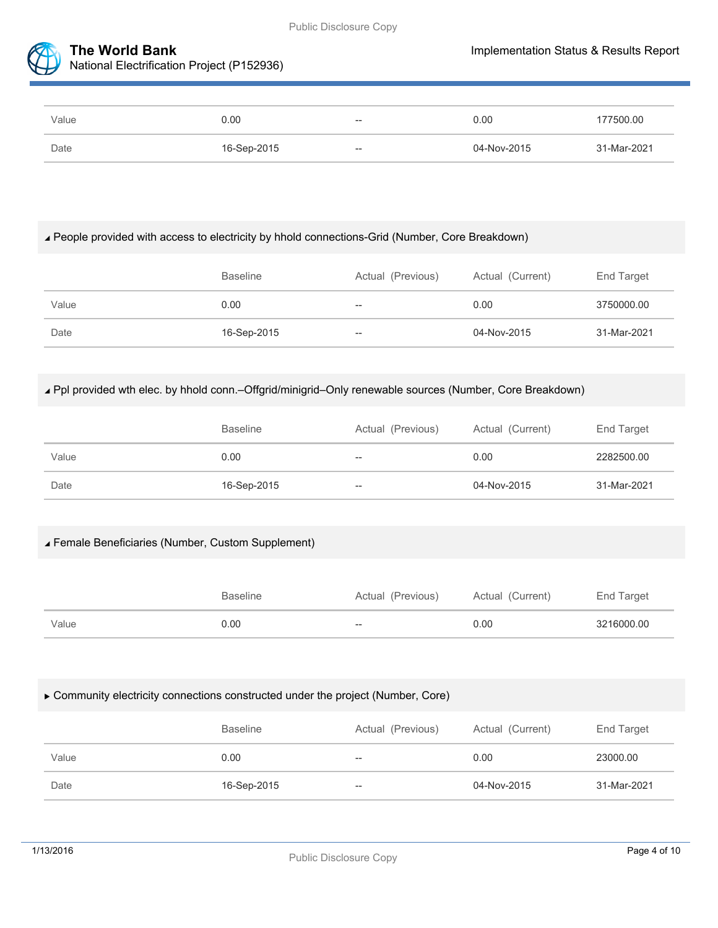



| Value | 0.00        | $- -$                    | 0.00        | 177500.00   |
|-------|-------------|--------------------------|-------------|-------------|
| Date  | 16-Sep-2015 | $\overline{\phantom{a}}$ | 04-Nov-2015 | 31-Mar-2021 |

# People provided with access to electricity by hhold connections-Grid (Number, Core Breakdown)

|       | <b>Baseline</b> | Actual (Previous) | Actual (Current) | End Target  |
|-------|-----------------|-------------------|------------------|-------------|
| Value | 0.00            | $- -$             | 0.00             | 3750000.00  |
| Date  | 16-Sep-2015     | $- -$             | 04-Nov-2015      | 31-Mar-2021 |

# Ppl provided wth elec. by hhold conn.–Offgrid/minigrid–Only renewable sources (Number, Core Breakdown)

|       | <b>Baseline</b> | Actual (Previous) | Actual (Current) | End Target  |
|-------|-----------------|-------------------|------------------|-------------|
| Value | 0.00            | $- -$             | 0.00             | 2282500.00  |
| Date  | 16-Sep-2015     | $\qquad \qquad -$ | 04-Nov-2015      | 31-Mar-2021 |

# Female Beneficiaries (Number, Custom Supplement)

|       | <b>Baseline</b> | Actual (Previous)        | Actual (Current) | End Target |
|-------|-----------------|--------------------------|------------------|------------|
| Value | 0.00            | $\overline{\phantom{a}}$ | 0.00             | 3216000.00 |

# Community electricity connections constructed under the project (Number, Core)

|       | <b>Baseline</b> | Actual (Previous) | Actual (Current) | End Target  |
|-------|-----------------|-------------------|------------------|-------------|
| Value | 0.00            | $- -$             | 0.00             | 23000.00    |
| Date  | 16-Sep-2015     | $- -$             | 04-Nov-2015      | 31-Mar-2021 |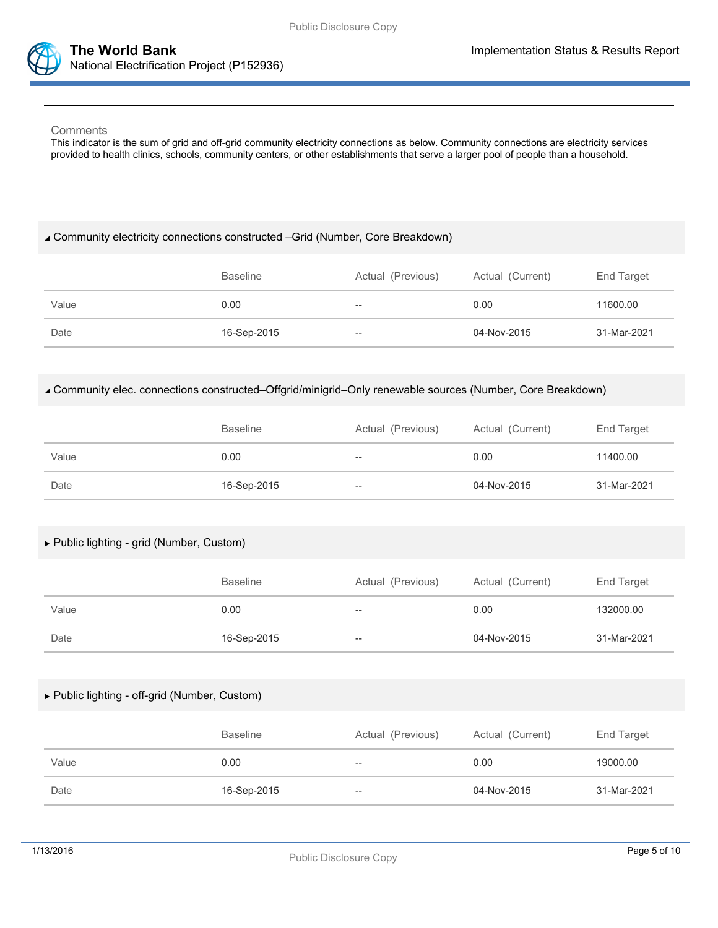

#### **Comments**

This indicator is the sum of grid and off-grid community electricity connections as below. Community connections are electricity services provided to health clinics, schools, community centers, or other establishments that serve a larger pool of people than a household.

#### Community electricity connections constructed –Grid (Number, Core Breakdown)

|       | <b>Baseline</b> | Actual (Previous) | Actual (Current) | End Target  |
|-------|-----------------|-------------------|------------------|-------------|
| Value | 0.00            | $-\!$             | 0.00             | 11600.00    |
| Date  | 16-Sep-2015     | $- -$             | 04-Nov-2015      | 31-Mar-2021 |

#### Community elec. connections constructed–Offgrid/minigrid–Only renewable sources (Number, Core Breakdown)

|       | <b>Baseline</b> | Actual (Previous) | Actual (Current) | End Target  |
|-------|-----------------|-------------------|------------------|-------------|
| Value | 0.00            | $- -$             | 0.00             | 11400.00    |
| Date  | 16-Sep-2015     | $- -$             | 04-Nov-2015      | 31-Mar-2021 |

## Public lighting - grid (Number, Custom)

|       | <b>Baseline</b> | Actual (Previous) | Actual (Current) | End Target  |
|-------|-----------------|-------------------|------------------|-------------|
| Value | 0.00            | --                | 0.00             | 132000.00   |
| Date  | 16-Sep-2015     | --                | 04-Nov-2015      | 31-Mar-2021 |

#### Public lighting - off-grid (Number, Custom)

|       | <b>Baseline</b> | Actual (Previous) | Actual (Current) | End Target  |
|-------|-----------------|-------------------|------------------|-------------|
| Value | 0.00            | $- -$             | 0.00             | 19000.00    |
| Date  | 16-Sep-2015     | $- -$             | 04-Nov-2015      | 31-Mar-2021 |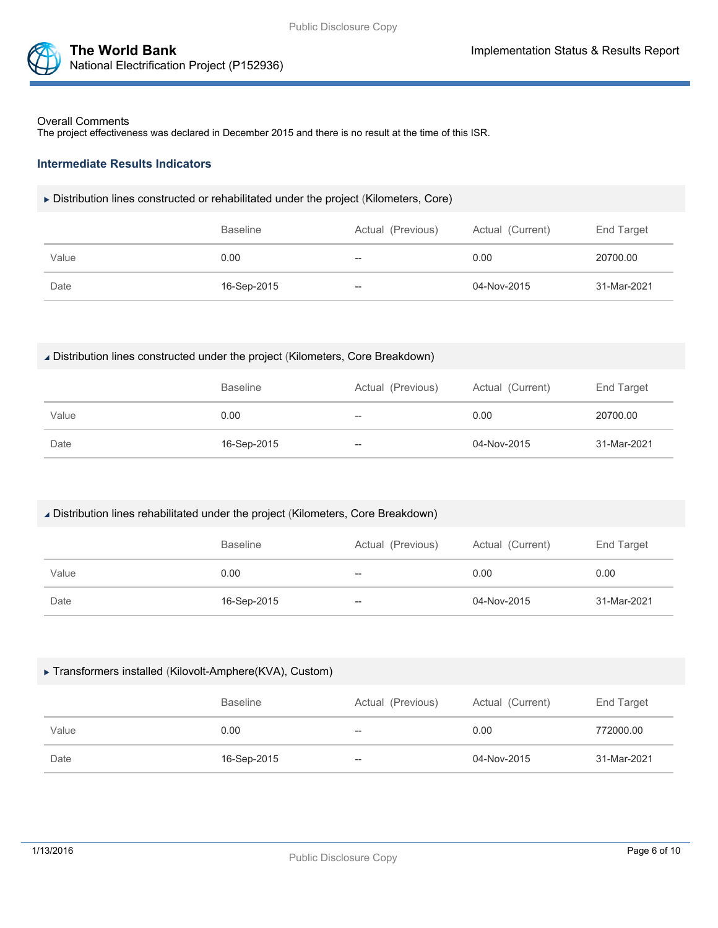

#### Overall Comments

The project effectiveness was declared in December 2015 and there is no result at the time of this ISR.

#### **Intermediate Results Indicators**

#### Distribution lines constructed or rehabilitated under the project (Kilometers, Core)

|       | <b>Baseline</b> | Actual (Previous) | Actual (Current) | End Target  |
|-------|-----------------|-------------------|------------------|-------------|
| Value | 0.00            | $- -$             | 0.00             | 20700.00    |
| Date  | 16-Sep-2015     | $- -$             | 04-Nov-2015      | 31-Mar-2021 |

#### Distribution lines constructed under the project (Kilometers, Core Breakdown)

|       | <b>Baseline</b> | Actual (Previous) | Actual (Current) | End Target  |
|-------|-----------------|-------------------|------------------|-------------|
| Value | 0.00            | $- -$             | 0.00             | 20700.00    |
| Date  | 16-Sep-2015     | $- -$             | 04-Nov-2015      | 31-Mar-2021 |

#### Distribution lines rehabilitated under the project (Kilometers, Core Breakdown)

|       | Baseline    | Actual (Previous) | Actual (Current) | End Target  |
|-------|-------------|-------------------|------------------|-------------|
| Value | 0.00        | $- -$             | 0.00             | 0.00        |
| Date  | 16-Sep-2015 | $- -$             | 04-Nov-2015      | 31-Mar-2021 |

#### ▶ Transformers installed (Kilovolt-Amphere(KVA), Custom)

|       | <b>Baseline</b> | Actual (Previous) | Actual (Current) | End Target  |
|-------|-----------------|-------------------|------------------|-------------|
| Value | 0.00            | $\hspace{0.05cm}$ | 0.00             | 772000.00   |
| Date  | 16-Sep-2015     | $\qquad \qquad -$ | 04-Nov-2015      | 31-Mar-2021 |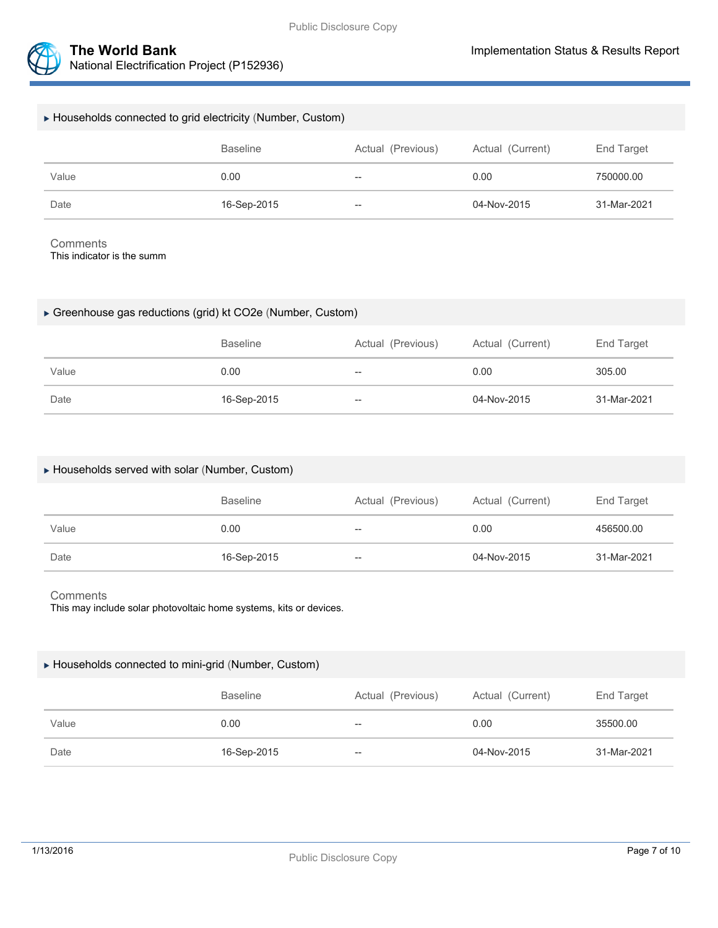

| ► Households connected to grid electricity (Number, Custom) |                 |                   |                  |             |
|-------------------------------------------------------------|-----------------|-------------------|------------------|-------------|
|                                                             | <b>Baseline</b> | Actual (Previous) | Actual (Current) | End Target  |
| Value                                                       | 0.00            | $-$               | 0.00             | 750000.00   |
| Date                                                        | 16-Sep-2015     | $-\!$             | 04-Nov-2015      | 31-Mar-2021 |

**Comments** 

This indicator is the summ

#### Greenhouse gas reductions (grid) kt CO2e (Number, Custom)

|       | <b>Baseline</b> | Actual (Previous) | Actual (Current) | End Target  |
|-------|-----------------|-------------------|------------------|-------------|
| Value | 0.00            | $- -$             | 0.00             | 305.00      |
| Date  | 16-Sep-2015     | --                | 04-Nov-2015      | 31-Mar-2021 |

#### Households served with solar (Number, Custom)

|       | Baseline    | Actual (Previous) | Actual (Current) | End Target  |
|-------|-------------|-------------------|------------------|-------------|
| Value | 0.00        | $- -$             | 0.00             | 456500.00   |
| Date  | 16-Sep-2015 | $- -$             | 04-Nov-2015      | 31-Mar-2021 |

#### **Comments**

This may include solar photovoltaic home systems, kits or devices.

#### Households connected to mini-grid (Number, Custom)

|       | <b>Baseline</b> | Actual (Previous) | Actual (Current) | End Target  |
|-------|-----------------|-------------------|------------------|-------------|
| Value | 0.00            | $- -$             | 0.00             | 35500.00    |
| Date  | 16-Sep-2015     | $- -$             | 04-Nov-2015      | 31-Mar-2021 |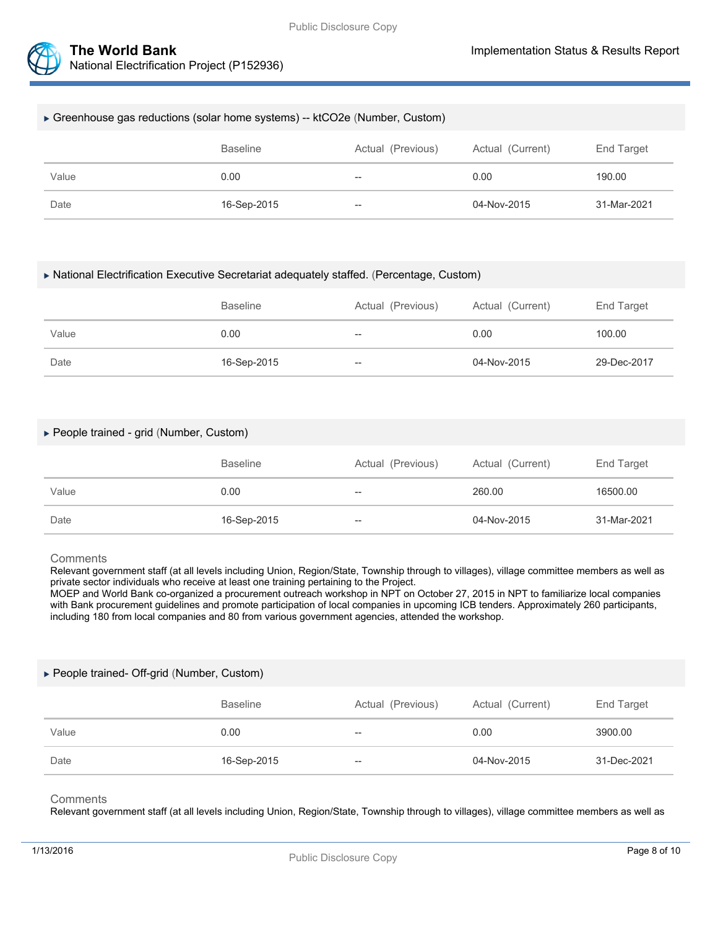

#### Greenhouse gas reductions (solar home systems) -- ktCO2e (Number, Custom)

|       | <b>Baseline</b> | Actual (Previous)                  | Actual (Current) | End Target  |
|-------|-----------------|------------------------------------|------------------|-------------|
| Value | 0.00            | $- -$                              | 0.00             | 190.00      |
| Date  | 16-Sep-2015     | $\hspace{0.05cm} -\hspace{0.05cm}$ | 04-Nov-2015      | 31-Mar-2021 |

#### National Electrification Executive Secretariat adequately staffed. (Percentage, Custom)

|       | <b>Baseline</b> | Actual (Previous) | Actual (Current) | End Target  |
|-------|-----------------|-------------------|------------------|-------------|
| Value | 0.00            | $- -$             | 0.00             | 100.00      |
| Date  | 16-Sep-2015     | $- -$             | 04-Nov-2015      | 29-Dec-2017 |

#### People trained - grid (Number, Custom)

|       | <b>Baseline</b> | Actual (Previous) | Actual (Current) | End Target  |
|-------|-----------------|-------------------|------------------|-------------|
| Value | 0.00            | $- -$             | 260.00           | 16500.00    |
| Date  | 16-Sep-2015     | $- -$             | 04-Nov-2015      | 31-Mar-2021 |

#### **Comments**

Relevant government staff (at all levels including Union, Region/State, Township through to villages), village committee members as well as private sector individuals who receive at least one training pertaining to the Project.

MOEP and World Bank co-organized a procurement outreach workshop in NPT on October 27, 2015 in NPT to familiarize local companies with Bank procurement guidelines and promote participation of local companies in upcoming ICB tenders. Approximately 260 participants, including 180 from local companies and 80 from various government agencies, attended the workshop.

#### ▶ People trained- Off-grid (Number, Custom)

|       | <b>Baseline</b> | Actual (Previous)        | Actual (Current) | End Target  |
|-------|-----------------|--------------------------|------------------|-------------|
| Value | 0.00            | $- -$                    | 0.00             | 3900.00     |
| Date  | 16-Sep-2015     | $\overline{\phantom{a}}$ | 04-Nov-2015      | 31-Dec-2021 |

#### **Comments**

Relevant government staff (at all levels including Union, Region/State, Township through to villages), village committee members as well as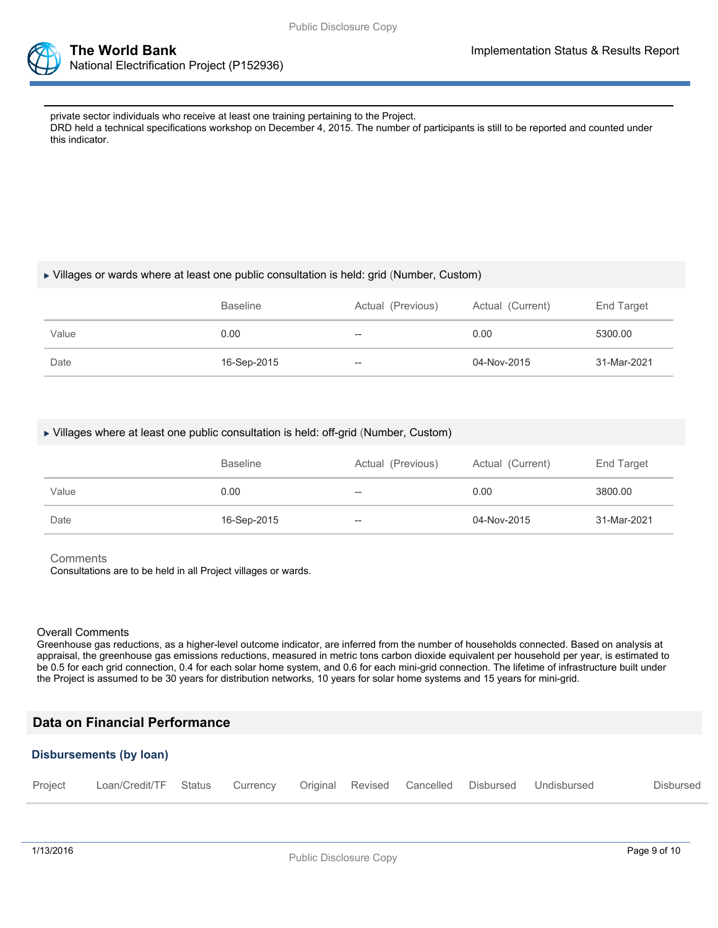

private sector individuals who receive at least one training pertaining to the Project. DRD held a technical specifications workshop on December 4, 2015. The number of participants is still to be reported and counted under this indicator.

#### Villages or wards where at least one public consultation is held: grid (Number, Custom)

|       | <b>Baseline</b> | Actual (Previous) | Actual (Current) | End Target  |
|-------|-----------------|-------------------|------------------|-------------|
| Value | 0.00            | --                | 0.00             | 5300.00     |
| Date  | 16-Sep-2015     | --                | 04-Nov-2015      | 31-Mar-2021 |

#### Villages where at least one public consultation is held: off-grid (Number, Custom)

|       | <b>Baseline</b> | Actual (Previous)                              | Actual (Current) | End Target  |
|-------|-----------------|------------------------------------------------|------------------|-------------|
| Value | 0.00            | $\hspace{0.1mm}-\hspace{0.1mm}-\hspace{0.1mm}$ | 0.00             | 3800.00     |
| Date  | 16-Sep-2015     | $\hspace{0.1mm}-\hspace{0.1mm}-\hspace{0.1mm}$ | 04-Nov-2015      | 31-Mar-2021 |

**Comments** 

Consultations are to be held in all Project villages or wards.

#### Overall Comments

Greenhouse gas reductions, as a higher-level outcome indicator, are inferred from the number of households connected. Based on analysis at appraisal, the greenhouse gas emissions reductions, measured in metric tons carbon dioxide equivalent per household per year, is estimated to be 0.5 for each grid connection, 0.4 for each solar home system, and 0.6 for each mini-grid connection. The lifetime of infrastructure built under the Project is assumed to be 30 years for distribution networks, 10 years for solar home systems and 15 years for mini-grid.

# **Data on Financial Performance**

#### **Disbursements (by loan)**

| Project Loan/Credit/TF Status Currency Original Revised Cancelled Disbursed Undisbursed |  |  |  | Disbursed |
|-----------------------------------------------------------------------------------------|--|--|--|-----------|
|                                                                                         |  |  |  |           |